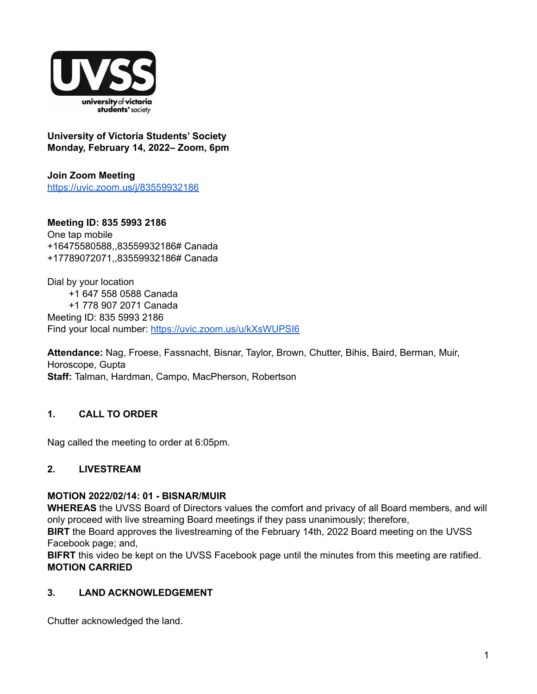

**University of Victoria Students' Society Monday, February 14, 2022– Zoom, 6pm**

**Join Zoom Meeting** <https://uvic.zoom.us/j/83559932186>

**Meeting ID: 835 5993 2186** One tap mobile +16475580588,,83559932186# Canada +17789072071,,83559932186# Canada

Dial by your location +1 647 558 0588 Canada +1 778 907 2071 Canada Meeting ID: 835 5993 2186 Find your local number: <https://uvic.zoom.us/u/kXsWUPSI6>

**Attendance:** Nag, Froese, Fassnacht, Bisnar, Taylor, Brown, Chutter, Bihis, Baird, Berman, Muir, Horoscope, Gupta **Staff:** Talman, Hardman, Campo, MacPherson, Robertson

# **1. CALL TO ORDER**

Nag called the meeting to order at 6:05pm.

# **2. LIVESTREAM**

## **MOTION 2022/02/14: 01 - BISNAR/MUIR**

**WHEREAS** the UVSS Board of Directors values the comfort and privacy of all Board members, and will only proceed with live streaming Board meetings if they pass unanimously; therefore,

**BIRT** the Board approves the livestreaming of the February 14th, 2022 Board meeting on the UVSS Facebook page; and,

**BIFRT** this video be kept on the UVSS Facebook page until the minutes from this meeting are ratified. **MOTION CARRIED**

# **3. LAND ACKNOWLEDGEMENT**

Chutter acknowledged the land.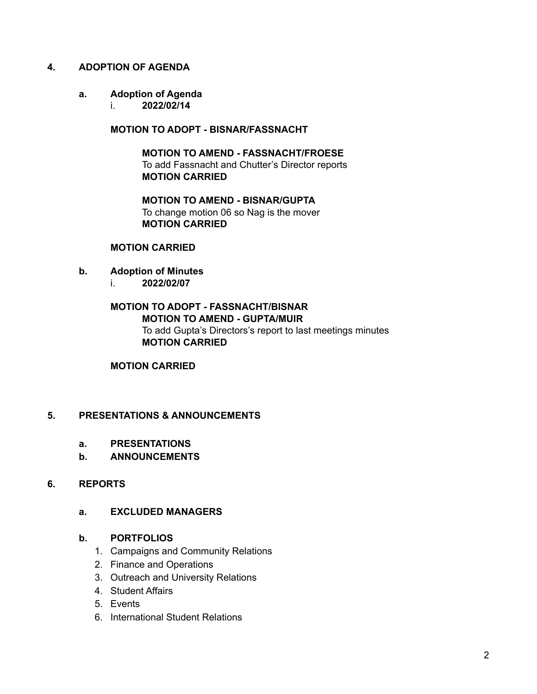## **4. ADOPTION OF AGENDA**

#### **a. Adoption of Agenda**

i. **2022/02/14**

**MOTION TO ADOPT - BISNAR/FASSNACHT**

**MOTION TO AMEND - FASSNACHT/FROESE** To add Fassnacht and Chutter's Director reports **MOTION CARRIED**

**MOTION TO AMEND - BISNAR/GUPTA** To change motion 06 so Nag is the mover **MOTION CARRIED**

#### **MOTION CARRIED**

- **b. Adoption of Minutes**
	- i. **2022/02/07**

## **MOTION TO ADOPT - FASSNACHT/BISNAR MOTION TO AMEND - GUPTA/MUIR** To add Gupta's Directors's report to last meetings minutes **MOTION CARRIED**

#### **MOTION CARRIED**

## **5. PRESENTATIONS & ANNOUNCEMENTS**

- **a. PRESENTATIONS**
- **b. ANNOUNCEMENTS**

# **6. REPORTS**

## **a. EXCLUDED MANAGERS**

#### **b. PORTFOLIOS**

- 1. Campaigns and Community Relations
- 2. Finance and Operations
- 3. Outreach and University Relations
- 4. Student Affairs
- 5. Events
- 6. International Student Relations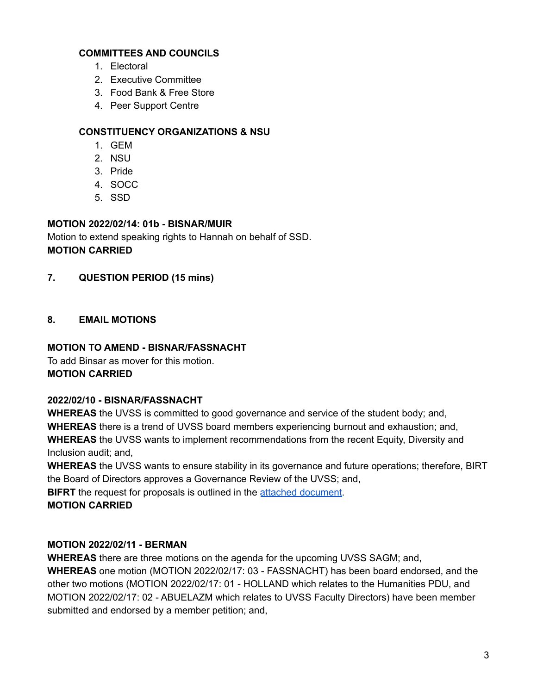# **COMMITTEES AND COUNCILS**

- 1. Electoral
- 2. Executive Committee
- 3. Food Bank & Free Store
- 4. Peer Support Centre

# **CONSTITUENCY ORGANIZATIONS & NSU**

- 1. GEM
- 2. NSU
- 3. Pride
- 4. SOCC
- 5. SSD

# **MOTION 2022/02/14: 01b - BISNAR/MUIR**

Motion to extend speaking rights to Hannah on behalf of SSD. **MOTION CARRIED**

# **7. QUESTION PERIOD (15 mins)**

# **8. EMAIL MOTIONS**

# **MOTION TO AMEND - BISNAR/FASSNACHT**

To add Binsar as mover for this motion. **MOTION CARRIED**

# **2022/02/10 - BISNAR/FASSNACHT**

**WHEREAS** the UVSS is committed to good governance and service of the student body; and, **WHEREAS** there is a trend of UVSS board members experiencing burnout and exhaustion; and, **WHEREAS** the UVSS wants to implement recommendations from the recent Equity, Diversity and Inclusion audit; and,

**WHEREAS** the UVSS wants to ensure stability in its governance and future operations; therefore, BIRT the Board of Directors approves a Governance Review of the UVSS; and,

**BIFRT** the request for proposals is outlined in the attached [document](https://docs.google.com/document/d/1N5G2R8TGQNcyr80Gx5xxQLlVZxst5X3Yq0BOp9QQ8S4/edit?usp=sharing).

**MOTION CARRIED**

# **MOTION 2022/02/11 - BERMAN**

**WHEREAS** there are three motions on the agenda for the upcoming UVSS SAGM; and,

**WHEREAS** one motion (MOTION 2022/02/17: 03 - FASSNACHT) has been board endorsed, and the other two motions (MOTION 2022/02/17: 01 - HOLLAND which relates to the Humanities PDU, and MOTION 2022/02/17: 02 - ABUELAZM which relates to UVSS Faculty Directors) have been member submitted and endorsed by a member petition; and,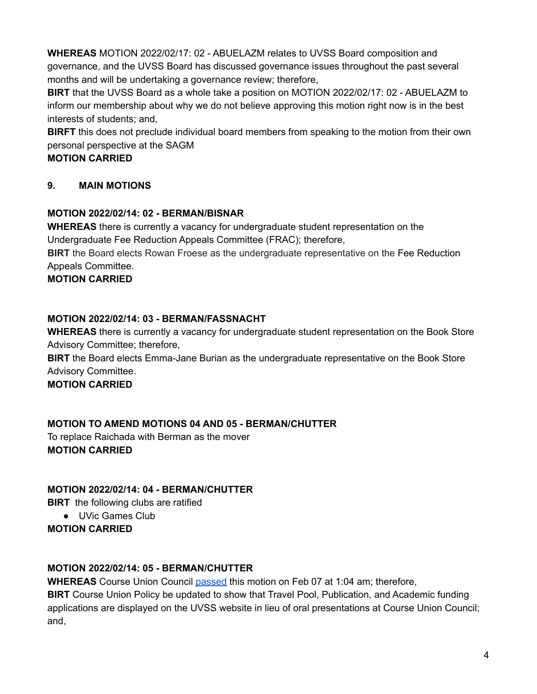**WHEREAS** MOTION 2022/02/17: 02 - ABUELAZM relates to UVSS Board composition and governance, and the UVSS Board has discussed governance issues throughout the past several months and will be undertaking a governance review; therefore,

**BIRT** that the UVSS Board as a whole take a position on MOTION 2022/02/17: 02 - ABUELAZM to inform our membership about why we do not believe approving this motion right now is in the best interests of students; and,

**BIRFT** this does not preclude individual board members from speaking to the motion from their own personal perspective at the SAGM

# **MOTION CARRIED**

# **9. MAIN MOTIONS**

# **MOTION 2022/02/14: 02 - BERMAN/BISNAR**

**WHEREAS** there is currently a vacancy for undergraduate student representation on the Undergraduate Fee Reduction Appeals Committee (FRAC); therefore,

**BIRT** the Board elects Rowan Froese as the undergraduate representative on the Fee Reduction Appeals Committee.

**MOTION CARRIED**

# **MOTION 2022/02/14: 03 - BERMAN/FASSNACHT**

**WHEREAS** there is currently a vacancy for undergraduate student representation on the Book Store Advisory Committee; therefore,

**BIRT** the Board elects Emma-Jane Burian as the undergraduate representative on the Book Store Advisory Committee.

**MOTION CARRIED**

# **MOTION TO AMEND MOTIONS 04 AND 05 - BERMAN/CHUTTER**

To replace Raichada with Berman as the mover **MOTION CARRIED**

# **MOTION 2022/02/14: 04 - BERMAN/CHUTTER**

**BIRT** the following clubs are ratified

● UVic Games Club

**MOTION CARRIED**

# **MOTION 2022/02/14: 05 - BERMAN/CHUTTER**

**WHEREAS** Course Union Council [passed](https://docs.google.com/document/d/1hnWw4gqxgBUbxjSwEbCu9KnTYyV1eIc6e7WHUrjcB1o/edit?usp=sharing) this motion on Feb 07 at 1:04 am; therefore, **BIRT** Course Union Policy be updated to show that Travel Pool, Publication, and Academic funding applications are displayed on the UVSS website in lieu of oral presentations at Course Union Council; and,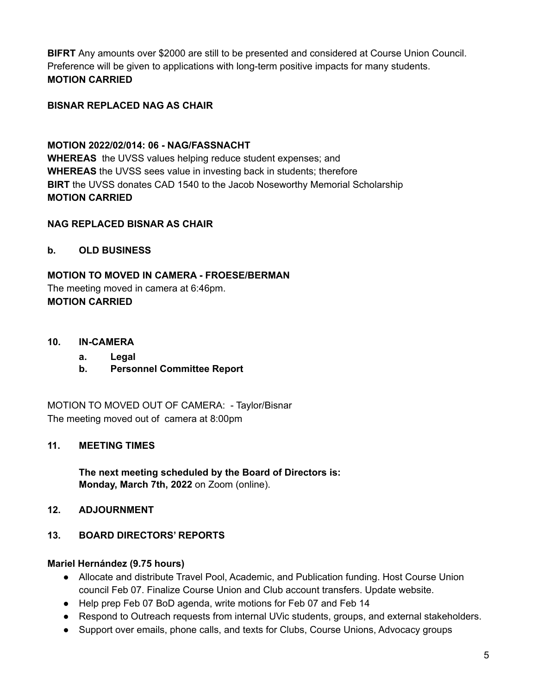**BIFRT** Any amounts over \$2000 are still to be presented and considered at Course Union Council. Preference will be given to applications with long-term positive impacts for many students. **MOTION CARRIED**

# **BISNAR REPLACED NAG AS CHAIR**

**MOTION 2022/02/014: 06 - NAG/FASSNACHT WHEREAS** the UVSS values helping reduce student expenses; and **WHEREAS** the UVSS sees value in investing back in students; therefore **BIRT** the UVSS donates CAD 1540 to the Jacob Noseworthy Memorial Scholarship **MOTION CARRIED**

## **NAG REPLACED BISNAR AS CHAIR**

**b. OLD BUSINESS**

**MOTION TO MOVED IN CAMERA - FROESE/BERMAN** The meeting moved in camera at 6:46pm. **MOTION CARRIED**

- **10. IN-CAMERA**
	- **a. Legal**
	- **b. Personnel Committee Report**

MOTION TO MOVED OUT OF CAMERA: - Taylor/Bisnar The meeting moved out of camera at 8:00pm

## **11. MEETING TIMES**

**The next meeting scheduled by the Board of Directors is: Monday, March 7th, 2022** on Zoom (online).

## **12. ADJOURNMENT**

## **13. BOARD DIRECTORS' REPORTS**

## **Mariel Hernández (9.75 hours)**

- Allocate and distribute Travel Pool, Academic, and Publication funding. Host Course Union council Feb 07. Finalize Course Union and Club account transfers. Update website.
- Help prep Feb 07 BoD agenda, write motions for Feb 07 and Feb 14
- Respond to Outreach requests from internal UVic students, groups, and external stakeholders.
- Support over emails, phone calls, and texts for Clubs, Course Unions, Advocacy groups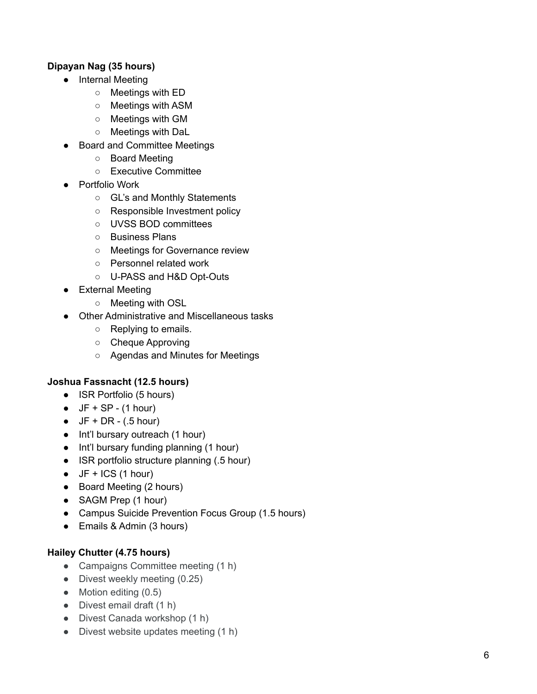## **Dipayan Nag (35 hours)**

- Internal Meeting
	- Meetings with ED
	- Meetings with ASM
	- Meetings with GM
	- Meetings with DaL
- Board and Committee Meetings
	- o Board Meeting
	- Executive Committee
- Portfolio Work
	- GL's and Monthly Statements
	- Responsible Investment policy
	- UVSS BOD committees
	- Business Plans
	- Meetings for Governance review
	- o Personnel related work
	- U-PASS and H&D Opt-Outs
- External Meeting
	- Meeting with OSL
- Other Administrative and Miscellaneous tasks
	- Replying to emails.
	- Cheque Approving
	- Agendas and Minutes for Meetings

## Joshua Fassnacht (12.5 hours)

- ISR Portfolio (5 hours)
- $\bullet$  JF + SP (1 hour)
- $\bullet$  JF + DR (.5 hour)
- Int'l bursary outreach (1 hour)
- Int'l bursary funding planning (1 hour)
- ISR portfolio structure planning (.5 hour)
- $\bullet$  JF + ICS (1 hour)
- Board Meeting (2 hours)
- SAGM Prep (1 hour)
- Campus Suicide Prevention Focus Group (1.5 hours)
- Emails & Admin (3 hours)

## Hailey Chutter (4.75 hours)

- Campaigns Committee meeting (1 h)
- Divest weekly meeting (0.25)
- Motion editing (0.5)
- Divest email draft (1 h)
- Divest Canada workshop (1 h)
- Divest website updates meeting (1 h)